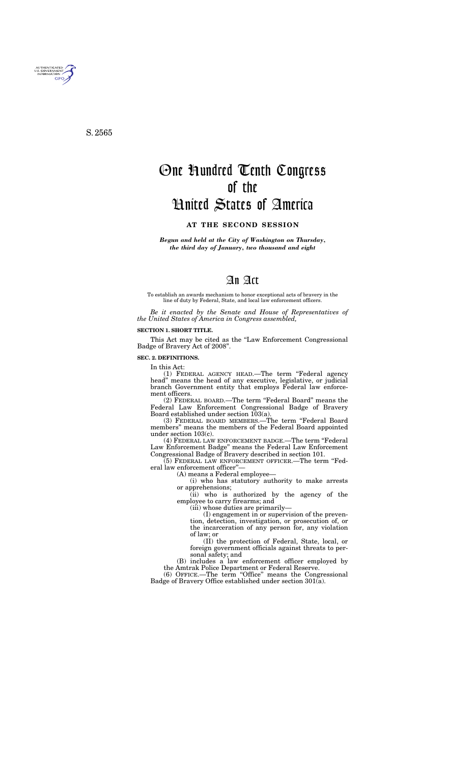*Begun and held at the City of Washington on Thursday, the third day of January, two thousand and eight* 

# An Act

To establish an awards mechanism to honor exceptional acts of bravery in the line of duty by Federal, State, and local law enforcement officers.

*Be it enacted by the Senate and House of Representatives of the United States of America in Congress assembled,* 

### **SECTION 1. SHORT TITLE.**

This Act may be cited as the "Law Enforcement Congressional Badge of Bravery Act of 2008''.

### **SEC. 2. DEFINITIONS.**

In this Act:

(1) FEDERAL AGENCY HEAD.—The term ''Federal agency head'' means the head of any executive, legislative, or judicial branch Government entity that employs Federal law enforcement officers.

(2) FEDERAL BOARD.—The term ''Federal Board'' means the Federal Law Enforcement Congressional Badge of Bravery Board established under section 103(a).

(3) FEDERAL BOARD MEMBERS.—The term ''Federal Board members'' means the members of the Federal Board appointed under section 103(c).

(4) FEDERAL LAW ENFORCEMENT BADGE.—The term ''Federal Law Enforcement Badge'' means the Federal Law Enforcement Congressional Badge of Bravery described in section 101.

(5) FEDERAL LAW ENFORCEMENT OFFICER.—The term ''Federal law enforcement officer''—

(A) means a Federal employee—

(i) who has statutory authority to make arrests or apprehensions;

(ii) who is authorized by the agency of the employee to carry firearms; and

(iii) whose duties are primarily—

(I) engagement in or supervision of the prevention, detection, investigation, or prosecution of, or the incarceration of any person for, any violation of law; or

(II) the protection of Federal, State, local, or foreign government officials against threats to personal safety; and

(B) includes a law enforcement officer employed by the Amtrak Police Department or Federal Reserve.

(6) OFFICE.—The term ''Office'' means the Congressional Badge of Bravery Office established under section 301(a).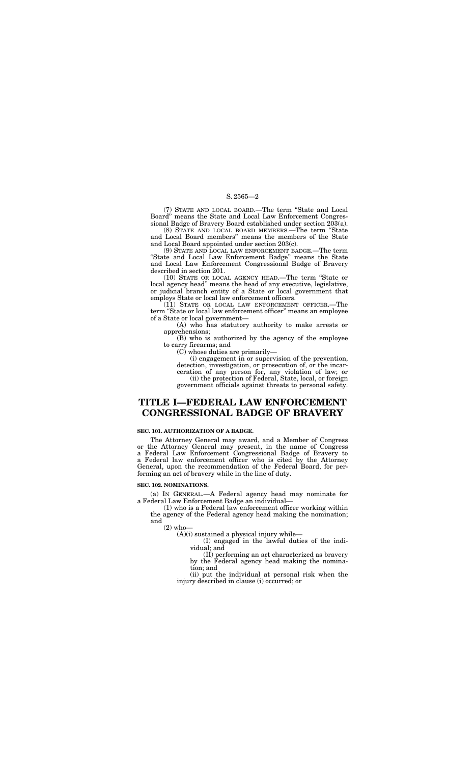(7) STATE AND LOCAL BOARD.—The term ''State and Local Board'' means the State and Local Law Enforcement Congressional Badge of Bravery Board established under section 203(a).

(8) STATE AND LOCAL BOARD MEMBERS.—The term ''State and Local Board members'' means the members of the State and Local Board appointed under section 203(c).

(9) STATE AND LOCAL LAW ENFORCEMENT BADGE.—The term ''State and Local Law Enforcement Badge'' means the State and Local Law Enforcement Congressional Badge of Bravery described in section 201.

(10) STATE OR LOCAL AGENCY HEAD.—The term ''State or local agency head'' means the head of any executive, legislative, or judicial branch entity of a State or local government that employs State or local law enforcement officers.

(11) STATE OR LOCAL LAW ENFORCEMENT OFFICER.—The term ''State or local law enforcement officer'' means an employee of a State or local government—

(A) who has statutory authority to make arrests or apprehensions;

(B) who is authorized by the agency of the employee to carry firearms; and

(C) whose duties are primarily—

(i) engagement in or supervision of the prevention, detection, investigation, or prosecution of, or the incarceration of any person for, any violation of law; or (ii) the protection of Federal, State, local, or foreign government officials against threats to personal safety.

# **TITLE I—FEDERAL LAW ENFORCEMENT CONGRESSIONAL BADGE OF BRAVERY**

### **SEC. 101. AUTHORIZATION OF A BADGE.**

The Attorney General may award, and a Member of Congress or the Attorney General may present, in the name of Congress a Federal Law Enforcement Congressional Badge of Bravery to a Federal law enforcement officer who is cited by the Attorney General, upon the recommendation of the Federal Board, for performing an act of bravery while in the line of duty.

#### **SEC. 102. NOMINATIONS.**

(a) IN GENERAL.—A Federal agency head may nominate for a Federal Law Enforcement Badge an individual—

(1) who is a Federal law enforcement officer working within the agency of the Federal agency head making the nomination; and

 $(2)$  who-

(A)(i) sustained a physical injury while—

(I) engaged in the lawful duties of the individual; and

(II) performing an act characterized as bravery by the Federal agency head making the nomination; and

(ii) put the individual at personal risk when the injury described in clause (i) occurred; or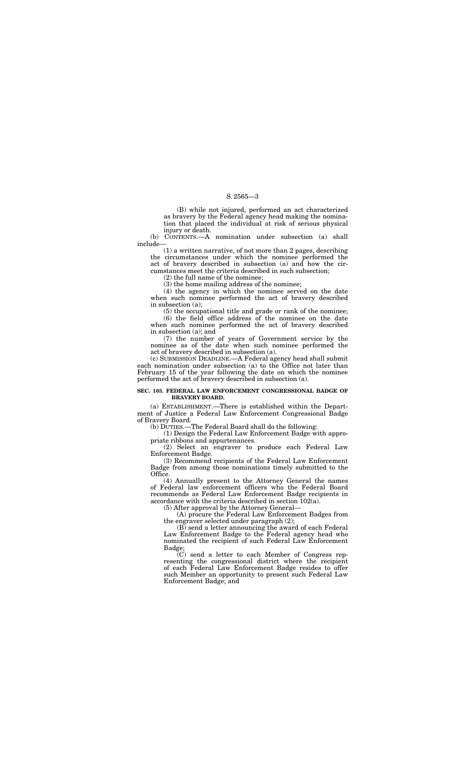(B) while not injured, performed an act characterized as bravery by the Federal agency head making the nomination that placed the individual at risk of serious physical injury or death.

(b) CONTENTS.—A nomination under subsection (a) shall include—

(1) a written narrative, of not more than 2 pages, describing the circumstances under which the nominee performed the act of bravery described in subsection (a) and how the circumstances meet the criteria described in such subsection;

(2) the full name of the nominee;

(3) the home mailing address of the nominee;

(4) the agency in which the nominee served on the date when such nominee performed the act of bravery described in subsection (a);

(5) the occupational title and grade or rank of the nominee;

(6) the field office address of the nominee on the date when such nominee performed the act of bravery described in subsection (a); and

(7) the number of years of Government service by the nominee as of the date when such nominee performed the act of bravery described in subsection (a).

(c) SUBMISSION DEADLINE.—A Federal agency head shall submit each nomination under subsection (a) to the Office not later than February 15 of the year following the date on which the nominee performed the act of bravery described in subsection (a).

> $\overline{C}(C)$  send a letter to each Member of Congress representing the congressional district where the recipient of each Federal Law Enforcement Badge resides to offer such Member an opportunity to present such Federal Law Enforcement Badge; and

#### **SEC. 103. FEDERAL LAW ENFORCEMENT CONGRESSIONAL BADGE OF BRAVERY BOARD.**

(a) ESTABLISHMENT.—There is established within the Department of Justice a Federal Law Enforcement Congressional Badge of Bravery Board.

(b) DUTIES.—The Federal Board shall do the following:

(1) Design the Federal Law Enforcement Badge with appropriate ribbons and appurtenances.

(2) Select an engraver to produce each Federal Law Enforcement Badge.

(3) Recommend recipients of the Federal Law Enforcement Badge from among those nominations timely submitted to the Office.

(4) Annually present to the Attorney General the names of Federal law enforcement officers who the Federal Board recommends as Federal Law Enforcement Badge recipients in accordance with the criteria described in section 102(a).

(5) After approval by the Attorney General—

(A) procure the Federal Law Enforcement Badges from the engraver selected under paragraph (2);

(B) send a letter announcing the award of each Federal Law Enforcement Badge to the Federal agency head who nominated the recipient of such Federal Law Enforcement Badge;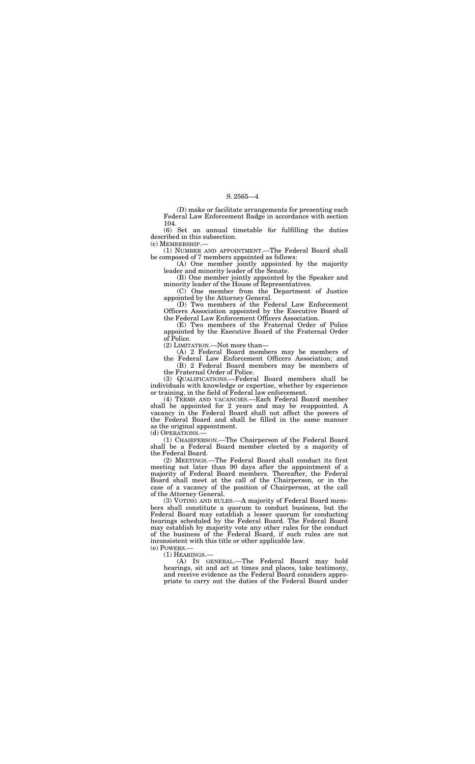(D) make or facilitate arrangements for presenting each Federal Law Enforcement Badge in accordance with section 104.

(6) Set an annual timetable for fulfilling the duties described in this subsection.

(c) MEMBERSHIP.—

(1) NUMBER AND APPOINTMENT.—The Federal Board shall be composed of 7 members appointed as follows:

(A) One member jointly appointed by the majority leader and minority leader of the Senate.

(B) One member jointly appointed by the Speaker and minority leader of the House of Representatives.

(C) One member from the Department of Justice appointed by the Attorney General.

(D) Two members of the Federal Law Enforcement Officers Association appointed by the Executive Board of the Federal Law Enforcement Officers Association.

(E) Two members of the Fraternal Order of Police appointed by the Executive Board of the Fraternal Order of Police.

(2) LIMITATION.—Not more than—

(A) 2 Federal Board members may be members of the Federal Law Enforcement Officers Association; and

(3) VOTING AND RULES.—A majority of Federal Board members shall constitute a quorum to conduct business, but the Federal Board may establish a lesser quorum for conducting hearings scheduled by the Federal Board. The Federal Board may establish by majority vote any other rules for the conduct of the business of the Federal Board, if such rules are not inconsistent with this title or other applicable law.  $(e)$  POWERS  $-$ 

(B) 2 Federal Board members may be members of the Fraternal Order of Police.

(3) QUALIFICATIONS.—Federal Board members shall be individuals with knowledge or expertise, whether by experience or training, in the field of Federal law enforcement.

(4) TERMS AND VACANCIES.—Each Federal Board member shall be appointed for 2 years and may be reappointed. A vacancy in the Federal Board shall not affect the powers of the Federal Board and shall be filled in the same manner as the original appointment.

(d) OPERATIONS.—

(1) CHAIRPERSON.—The Chairperson of the Federal Board shall be a Federal Board member elected by a majority of the Federal Board.

(2) MEETINGS.—The Federal Board shall conduct its first meeting not later than 90 days after the appointment of a majority of Federal Board members. Thereafter, the Federal Board shall meet at the call of the Chairperson, or in the case of a vacancy of the position of Chairperson, at the call of the Attorney General.

(1) HEARINGS.—

(A) IN GENERAL.—The Federal Board may hold hearings, sit and act at times and places, take testimony, and receive evidence as the Federal Board considers appropriate to carry out the duties of the Federal Board under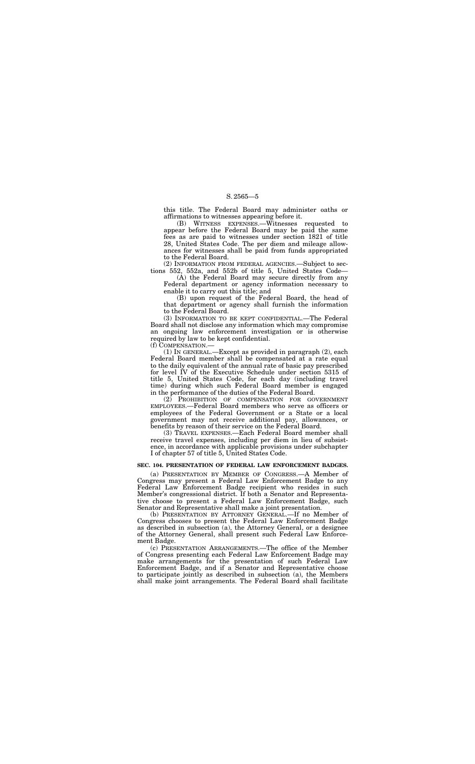this title. The Federal Board may administer oaths or affirmations to witnesses appearing before it.

(B) WITNESS EXPENSES.—Witnesses requested to appear before the Federal Board may be paid the same fees as are paid to witnesses under section 1821 of title 28, United States Code. The per diem and mileage allowances for witnesses shall be paid from funds appropriated to the Federal Board.

(2) INFORMATION FROM FEDERAL AGENCIES.—Subject to sections 552, 552a, and 552b of title 5, United States Code—

(A) the Federal Board may secure directly from any Federal department or agency information necessary to enable it to carry out this title; and

(B) upon request of the Federal Board, the head of that department or agency shall furnish the information to the Federal Board.

(3) INFORMATION TO BE KEPT CONFIDENTIAL.—The Federal Board shall not disclose any information which may compromise an ongoing law enforcement investigation or is otherwise required by law to be kept confidential.

(f) COMPENSATION.—

(1) IN GENERAL.—Except as provided in paragraph (2), each Federal Board member shall be compensated at a rate equal to the daily equivalent of the annual rate of basic pay prescribed for level IV of the Executive Schedule under section 5315 of title 5, United States Code, for each day (including travel time) during which such Federal Board member is engaged in the performance of the duties of the Federal Board.

(2) PROHIBITION OF COMPENSATION FOR GOVERNMENT EMPLOYEES.—Federal Board members who serve as officers or employees of the Federal Government or a State or a local government may not receive additional pay, allowances, or benefits by reason of their service on the Federal Board.

(3) TRAVEL EXPENSES.—Each Federal Board member shall receive travel expenses, including per diem in lieu of subsistence, in accordance with applicable provisions under subchapter I of chapter 57 of title 5, United States Code.

### **SEC. 104. PRESENTATION OF FEDERAL LAW ENFORCEMENT BADGES.**

(a) PRESENTATION BY MEMBER OF CONGRESS.—A Member of Congress may present a Federal Law Enforcement Badge to any Federal Law Enforcement Badge recipient who resides in such Member's congressional district. If both a Senator and Representative choose to present a Federal Law Enforcement Badge, such Senator and Representative shall make a joint presentation.

(b) PRESENTATION BY ATTORNEY GENERAL.—If no Member of Congress chooses to present the Federal Law Enforcement Badge as described in subsection (a), the Attorney General, or a designee of the Attorney General, shall present such Federal Law Enforcement Badge.

(c) PRESENTATION ARRANGEMENTS.—The office of the Member of Congress presenting each Federal Law Enforcement Badge may make arrangements for the presentation of such Federal Law Enforcement Badge, and if a Senator and Representative choose to participate jointly as described in subsection (a), the Members shall make joint arrangements. The Federal Board shall facilitate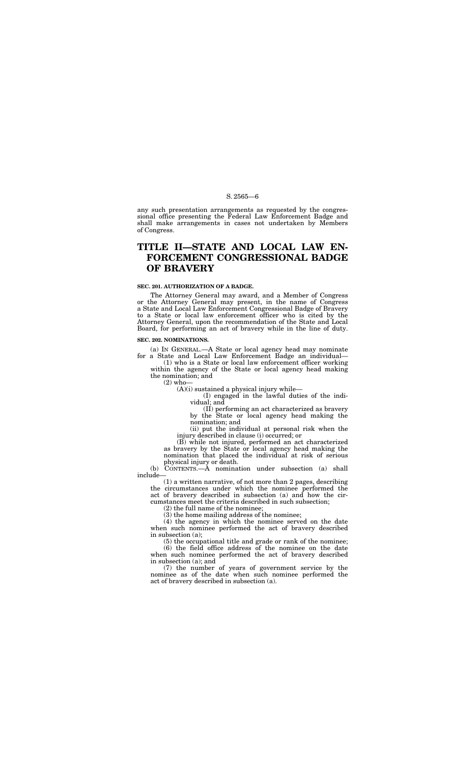any such presentation arrangements as requested by the congressional office presenting the Federal Law Enforcement Badge and shall make arrangements in cases not undertaken by Members of Congress.

# **TITLE II—STATE AND LOCAL LAW EN-FORCEMENT CONGRESSIONAL BADGE OF BRAVERY**

### **SEC. 201. AUTHORIZATION OF A BADGE.**

The Attorney General may award, and a Member of Congress or the Attorney General may present, in the name of Congress a State and Local Law Enforcement Congressional Badge of Bravery to a State or local law enforcement officer who is cited by the Attorney General, upon the recommendation of the State and Local Board, for performing an act of bravery while in the line of duty.

### **SEC. 202. NOMINATIONS.**

(a) IN GENERAL.—A State or local agency head may nominate for a State and Local Law Enforcement Badge an individual—

(1) who is a State or local law enforcement officer working within the agency of the State or local agency head making the nomination; and

(2) who—

(A)(i) sustained a physical injury while—

(I) engaged in the lawful duties of the individual; and

(II) performing an act characterized as bravery by the State or local agency head making the nomination; and

(ii) put the individual at personal risk when the injury described in clause (i) occurred; or

(B) while not injured, performed an act characterized as bravery by the State or local agency head making the nomination that placed the individual at risk of serious physical injury or death.

(b) CONTENTS.—A nomination under subsection (a) shall include—

(1) a written narrative, of not more than 2 pages, describing the circumstances under which the nominee performed the act of bravery described in subsection (a) and how the circumstances meet the criteria described in such subsection;

(2) the full name of the nominee;

(3) the home mailing address of the nominee;

(4) the agency in which the nominee served on the date when such nominee performed the act of bravery described in subsection (a);

(5) the occupational title and grade or rank of the nominee; (6) the field office address of the nominee on the date when such nominee performed the act of bravery described in subsection (a); and

(7) the number of years of government service by the nominee as of the date when such nominee performed the act of bravery described in subsection (a).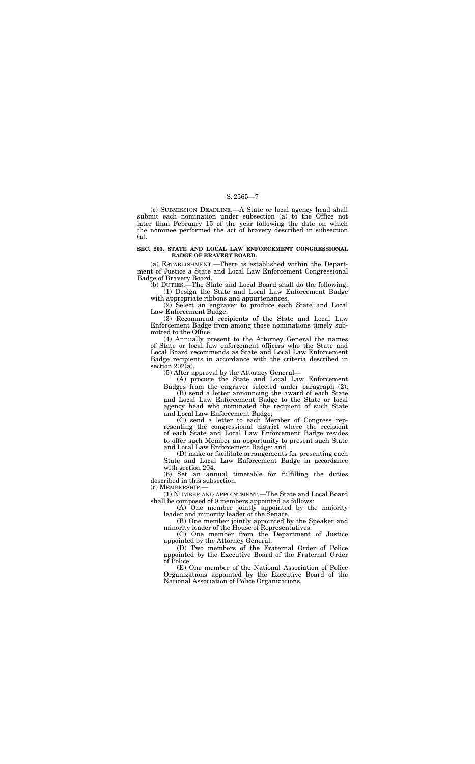(c) SUBMISSION DEADLINE.—A State or local agency head shall submit each nomination under subsection (a) to the Office not later than February 15 of the year following the date on which the nominee performed the act of bravery described in subsection (a).

#### **SEC. 203. STATE AND LOCAL LAW ENFORCEMENT CONGRESSIONAL BADGE OF BRAVERY BOARD.**

(a) ESTABLISHMENT.—There is established within the Department of Justice a State and Local Law Enforcement Congressional Badge of Bravery Board.

(b) DUTIES.—The State and Local Board shall do the following: (1) Design the State and Local Law Enforcement Badge

with appropriate ribbons and appurtenances.

(2) Select an engraver to produce each State and Local Law Enforcement Badge.

(3) Recommend recipients of the State and Local Law Enforcement Badge from among those nominations timely submitted to the Office.

(4) Annually present to the Attorney General the names of State or local law enforcement officers who the State and Local Board recommends as State and Local Law Enforcement Badge recipients in accordance with the criteria described in section 202(a).

(5) After approval by the Attorney General—

(A) procure the State and Local Law Enforcement Badges from the engraver selected under paragraph (2);

(B) send a letter announcing the award of each State and Local Law Enforcement Badge to the State or local agency head who nominated the recipient of such State and Local Law Enforcement Badge;

(C) send a letter to each Member of Congress representing the congressional district where the recipient of each State and Local Law Enforcement Badge resides to offer such Member an opportunity to present such State and Local Law Enforcement Badge; and

(D) make or facilitate arrangements for presenting each State and Local Law Enforcement Badge in accordance with section 204.

(6) Set an annual timetable for fulfilling the duties described in this subsection.

(c) MEMBERSHIP.—

(1) NUMBER AND APPOINTMENT.—The State and Local Board shall be composed of 9 members appointed as follows:

(A) One member jointly appointed by the majority leader and minority leader of the Senate.

(B) One member jointly appointed by the Speaker and minority leader of the House of Representatives.

(C) One member from the Department of Justice appointed by the Attorney General.

(D) Two members of the Fraternal Order of Police appointed by the Executive Board of the Fraternal Order of Police.

(E) One member of the National Association of Police Organizations appointed by the Executive Board of the National Association of Police Organizations.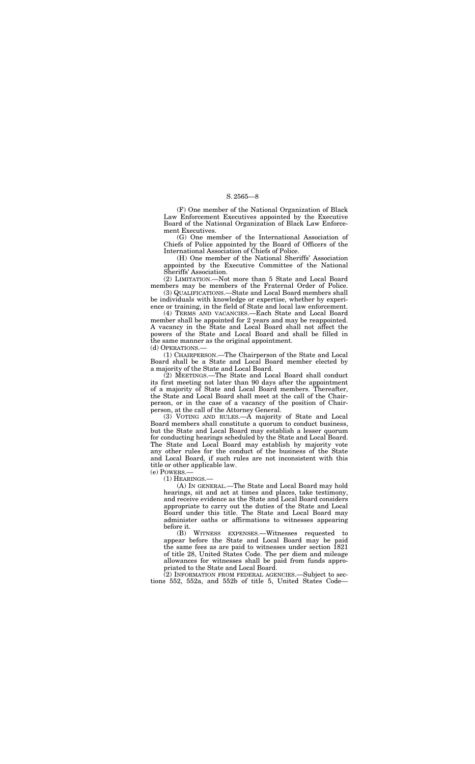(F) One member of the National Organization of Black Law Enforcement Executives appointed by the Executive Board of the National Organization of Black Law Enforcement Executives.

(G) One member of the International Association of Chiefs of Police appointed by the Board of Officers of the International Association of Chiefs of Police.

(H) One member of the National Sheriffs' Association appointed by the Executive Committee of the National Sheriffs' Association.

(2) LIMITATION.—Not more than 5 State and Local Board members may be members of the Fraternal Order of Police.

(3) QUALIFICATIONS.—State and Local Board members shall be individuals with knowledge or expertise, whether by experience or training, in the field of State and local law enforcement.

(4) TERMS AND VACANCIES.—Each State and Local Board member shall be appointed for 2 years and may be reappointed. A vacancy in the State and Local Board shall not affect the powers of the State and Local Board and shall be filled in the same manner as the original appointment.

(d) OPERATIONS.—

(1) CHAIRPERSON.—The Chairperson of the State and Local Board shall be a State and Local Board member elected by a majority of the State and Local Board.

(2) MEETINGS.—The State and Local Board shall conduct its first meeting not later than 90 days after the appointment of a majority of State and Local Board members. Thereafter, the State and Local Board shall meet at the call of the Chairperson, or in the case of a vacancy of the position of Chairperson, at the call of the Attorney General.

(3) VOTING AND RULES.—A majority of State and Local Board members shall constitute a quorum to conduct business, but the State and Local Board may establish a lesser quorum for conducting hearings scheduled by the State and Local Board. The State and Local Board may establish by majority vote any other rules for the conduct of the business of the State and Local Board, if such rules are not inconsistent with this title or other applicable law.

(e) POWERS.—

(1) HEARINGS.—

(A) IN GENERAL.—The State and Local Board may hold hearings, sit and act at times and places, take testimony, and receive evidence as the State and Local Board considers appropriate to carry out the duties of the State and Local Board under this title. The State and Local Board may administer oaths or affirmations to witnesses appearing before it.

(B) WITNESS EXPENSES.—Witnesses requested to appear before the State and Local Board may be paid the same fees as are paid to witnesses under section 1821 of title 28, United States Code. The per diem and mileage allowances for witnesses shall be paid from funds appropriated to the State and Local Board.

(2) INFORMATION FROM FEDERAL AGENCIES.—Subject to sections 552, 552a, and 552b of title 5, United States Code—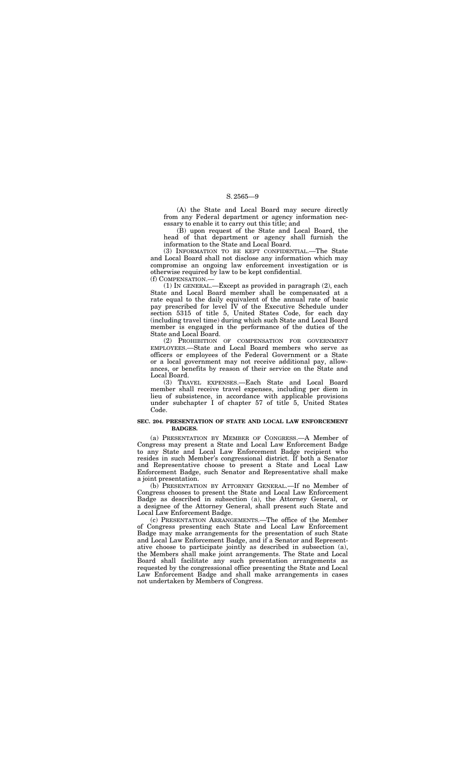(A) the State and Local Board may secure directly from any Federal department or agency information necessary to enable it to carry out this title; and

(B) upon request of the State and Local Board, the head of that department or agency shall furnish the information to the State and Local Board.

(3) INFORMATION TO BE KEPT CONFIDENTIAL.—The State and Local Board shall not disclose any information which may compromise an ongoing law enforcement investigation or is otherwise required by law to be kept confidential.

(f) COMPENSATION.—

(1) IN GENERAL.—Except as provided in paragraph (2), each State and Local Board member shall be compensated at a rate equal to the daily equivalent of the annual rate of basic pay prescribed for level IV of the Executive Schedule under section 5315 of title 5, United States Code, for each day (including travel time) during which such State and Local Board member is engaged in the performance of the duties of the State and Local Board.

(2) PROHIBITION OF COMPENSATION FOR GOVERNMENT EMPLOYEES.—State and Local Board members who serve as officers or employees of the Federal Government or a State or a local government may not receive additional pay, allowances, or benefits by reason of their service on the State and Local Board.

(3) TRAVEL EXPENSES.—Each State and Local Board member shall receive travel expenses, including per diem in lieu of subsistence, in accordance with applicable provisions under subchapter I of chapter 57 of title 5, United States Code.

### **SEC. 204. PRESENTATION OF STATE AND LOCAL LAW ENFORCEMENT BADGES.**

(a) PRESENTATION BY MEMBER OF CONGRESS.—A Member of Congress may present a State and Local Law Enforcement Badge to any State and Local Law Enforcement Badge recipient who resides in such Member's congressional district. If both a Senator and Representative choose to present a State and Local Law Enforcement Badge, such Senator and Representative shall make a joint presentation.

(b) PRESENTATION BY ATTORNEY GENERAL.—If no Member of Congress chooses to present the State and Local Law Enforcement Badge as described in subsection (a), the Attorney General, or a designee of the Attorney General, shall present such State and Local Law Enforcement Badge.

(c) PRESENTATION ARRANGEMENTS.—The office of the Member of Congress presenting each State and Local Law Enforcement Badge may make arrangements for the presentation of such State and Local Law Enforcement Badge, and if a Senator and Representative choose to participate jointly as described in subsection (a), the Members shall make joint arrangements. The State and Local Board shall facilitate any such presentation arrangements as requested by the congressional office presenting the State and Local Law Enforcement Badge and shall make arrangements in cases not undertaken by Members of Congress.